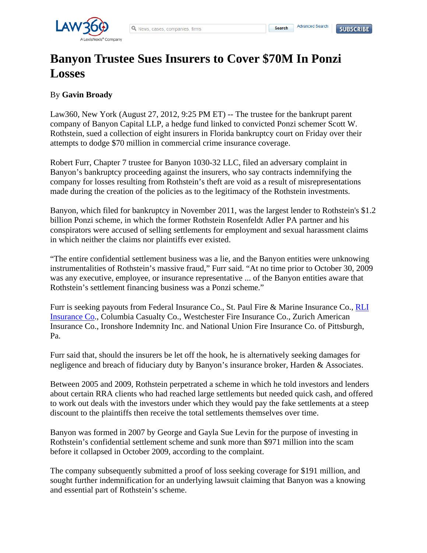**Search** 

## **Banyon Trustee Sues Insurers to Cover \$70M In Ponzi Losses**

## By **Gavin Broady**

Law360, New York (August 27, 2012, 9:25 PM ET) -- The trustee for the bankrupt parent company of Banyon Capital LLP, a hedge fund linked to convicted Ponzi schemer Scott W. Rothstein, sued a collection of eight insurers in Florida bankruptcy court on Friday over their attempts to dodge \$70 million in commercial crime insurance coverage.

Robert Furr, Chapter 7 trustee for Banyon 1030-32 LLC, filed an adversary complaint in Banyon's bankruptcy proceeding against the insurers, who say contracts indemnifying the company for losses resulting from Rothstein's theft are void as a result of misrepresentations made during the creation of the policies as to the legitimacy of the Rothstein investments.

Banyon, which filed for bankruptcy in November 2011, was the largest lender to Rothstein's \$1.2 billion Ponzi scheme, in which the former Rothstein Rosenfeldt Adler PA partner and his conspirators were accused of selling settlements for employment and sexual harassment claims in which neither the claims nor plaintiffs ever existed.

"The entire confidential settlement business was a lie, and the Banyon entities were unknowing instrumentalities of Rothstein's massive fraud," Furr said. "At no time prior to October 30, 2009 was any executive, employee, or insurance representative ... of the Banyon entities aware that Rothstein's settlement financing business was a Ponzi scheme."

Furr is seeking payouts from Federal Insurance Co., St. Paul Fire & Marine Insurance Co., RLI Insurance Co., Columbia Casualty Co., Westchester Fire Insurance Co., Zurich American Insurance Co., Ironshore Indemnity Inc. and National Union Fire Insurance Co. of Pittsburgh, Pa.

Furr said that, should the insurers be let off the hook, he is alternatively seeking damages for negligence and breach of fiduciary duty by Banyon's insurance broker, Harden & Associates.

Between 2005 and 2009, Rothstein perpetrated a scheme in which he told investors and lenders about certain RRA clients who had reached large settlements but needed quick cash, and offered to work out deals with the investors under which they would pay the fake settlements at a steep discount to the plaintiffs then receive the total settlements themselves over time.

Banyon was formed in 2007 by George and Gayla Sue Levin for the purpose of investing in Rothstein's confidential settlement scheme and sunk more than \$971 million into the scam before it collapsed in October 2009, according to the complaint.

The company subsequently submitted a proof of loss seeking coverage for \$191 million, and sought further indemnification for an underlying lawsuit claiming that Banyon was a knowing and essential part of Rothstein's scheme.